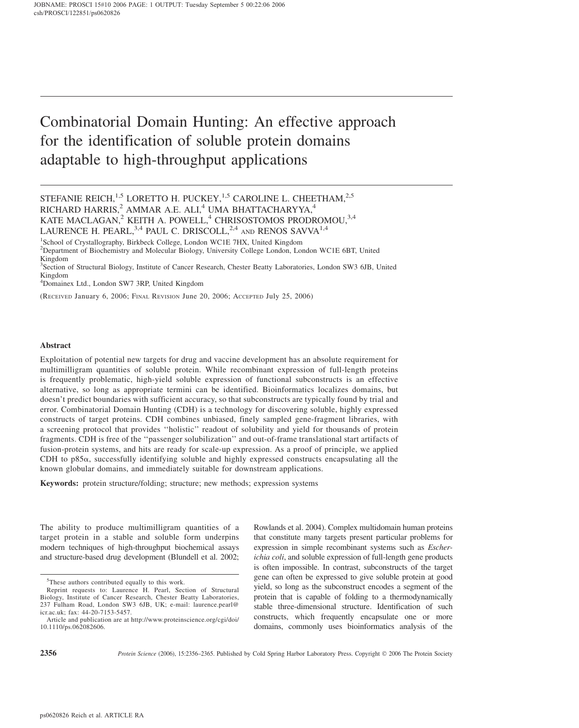# Combinatorial Domain Hunting: An effective approach for the identification of soluble protein domains adaptable to high-throughput applications

4 Domainex Ltd., London SW7 3RP, United Kingdom

(RECEIVED January 6, 2006; FINAL REVISION June 20, 2006; ACCEPTED July 25, 2006)

## Abstract

Exploitation of potential new targets for drug and vaccine development has an absolute requirement for multimilligram quantities of soluble protein. While recombinant expression of full-length proteins is frequently problematic, high-yield soluble expression of functional subconstructs is an effective alternative, so long as appropriate termini can be identified. Bioinformatics localizes domains, but doesn't predict boundaries with sufficient accuracy, so that subconstructs are typically found by trial and error. Combinatorial Domain Hunting (CDH) is a technology for discovering soluble, highly expressed constructs of target proteins. CDH combines unbiased, finely sampled gene-fragment libraries, with a screening protocol that provides ''holistic'' readout of solubility and yield for thousands of protein fragments. CDH is free of the ''passenger solubilization'' and out-of-frame translational start artifacts of fusion-protein systems, and hits are ready for scale-up expression. As a proof of principle, we applied CDH to  $p85\alpha$ , successfully identifying soluble and highly expressed constructs encapsulating all the known globular domains, and immediately suitable for downstream applications.

Keywords: protein structure/folding; structure; new methods; expression systems

The ability to produce multimilligram quantities of a target protein in a stable and soluble form underpins modern techniques of high-throughput biochemical assays and structure-based drug development (Blundell et al. 2002; Rowlands et al. 2004). Complex multidomain human proteins that constitute many targets present particular problems for expression in simple recombinant systems such as Escherichia coli, and soluble expression of full-length gene products is often impossible. In contrast, subconstructs of the target gene can often be expressed to give soluble protein at good yield, so long as the subconstruct encodes a segment of the protein that is capable of folding to a thermodynamically stable three-dimensional structure. Identification of such constructs, which frequently encapsulate one or more domains, commonly uses bioinformatics analysis of the

STEFANIE REICH,<sup>1,5</sup> LORETTO H. PUCKEY,<sup>1,5</sup> CAROLINE L. CHEETHAM,<sup>2,5</sup> RICHARD HARRIS,<sup>2</sup> AMMAR A.E. ALI,<sup>4</sup> UMA BHATTACHARYYA,<sup>4</sup> KATE MACLAGAN,<sup>2</sup> KEITH A. POWELL,<sup>4</sup> CHRISOSTOMOS PRODROMOU,<sup>3,4</sup> LAURENCE H. PEARL,  $3,4$  PAUL C. DRISCOLL,  $2,4$  and RENOS SAVVA  $1,4$ 

<sup>&</sup>lt;sup>1</sup>School of Crystallography, Birkbeck College, London WC1E 7HX, United Kingdom <sup>2</sup>Department of Biochemistry and Molecular Biology, University College London, London WC1E 6BT, United Kingdom

<sup>&</sup>lt;sup>3</sup>Section of Structural Biology, Institute of Cancer Research, Chester Beatty Laboratories, London SW3 6JB, United Kingdom

<sup>&</sup>lt;sup>5</sup>These authors contributed equally to this work.

Reprint requests to: Laurence H. Pearl, Section of Structural Biology, Institute of Cancer Research, Chester Beatty Laboratories, 237 Fulham Road, London SW3 6JB, UK; e-mail: laurence.pearl@ icr.ac.uk; fax: 44-20-7153-5457.

Article and publication are at http://www.proteinscience.org/cgi/doi/ 10.1110/ps.062082606.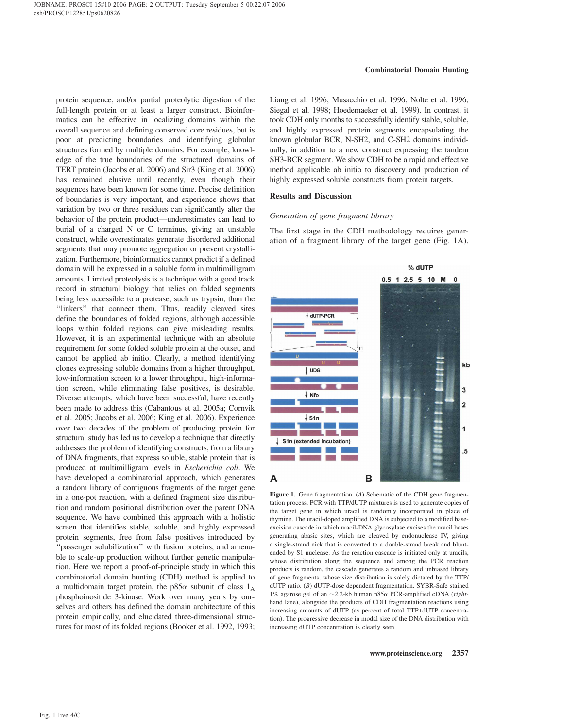protein sequence, and/or partial proteolytic digestion of the full-length protein or at least a larger construct. Bioinformatics can be effective in localizing domains within the overall sequence and defining conserved core residues, but is poor at predicting boundaries and identifying globular structures formed by multiple domains. For example, knowledge of the true boundaries of the structured domains of TERT protein (Jacobs et al. 2006) and Sir3 (King et al. 2006) has remained elusive until recently, even though their sequences have been known for some time. Precise definition of boundaries is very important, and experience shows that variation by two or three residues can significantly alter the behavior of the protein product—underestimates can lead to burial of a charged N or C terminus, giving an unstable construct, while overestimates generate disordered additional segments that may promote aggregation or prevent crystallization. Furthermore, bioinformatics cannot predict if a defined domain will be expressed in a soluble form in multimilligram amounts. Limited proteolysis is a technique with a good track record in structural biology that relies on folded segments being less accessible to a protease, such as trypsin, than the ''linkers'' that connect them. Thus, readily cleaved sites define the boundaries of folded regions, although accessible loops within folded regions can give misleading results. However, it is an experimental technique with an absolute requirement for some folded soluble protein at the outset, and cannot be applied ab initio. Clearly, a method identifying clones expressing soluble domains from a higher throughput, low-information screen to a lower throughput, high-information screen, while eliminating false positives, is desirable. Diverse attempts, which have been successful, have recently been made to address this (Cabantous et al. 2005a; Cornvik et al. 2005; Jacobs et al. 2006; King et al. 2006). Experience over two decades of the problem of producing protein for structural study has led us to develop a technique that directly addresses the problem of identifying constructs, from a library of DNA fragments, that express soluble, stable protein that is produced at multimilligram levels in Escherichia coli. We have developed a combinatorial approach, which generates a random library of contiguous fragments of the target gene in a one-pot reaction, with a defined fragment size distribution and random positional distribution over the parent DNA sequence. We have combined this approach with a holistic screen that identifies stable, soluble, and highly expressed protein segments, free from false positives introduced by "passenger solubilization" with fusion proteins, and amenable to scale-up production without further genetic manipulation. Here we report a proof-of-principle study in which this combinatorial domain hunting (CDH) method is applied to a multidomain target protein, the p85 $\alpha$  subunit of class  $1_A$ phosphoinositide 3-kinase. Work over many years by ourselves and others has defined the domain architecture of this protein empirically, and elucidated three-dimensional structures for most of its folded regions (Booker et al. 1992, 1993;

Liang et al. 1996; Musacchio et al. 1996; Nolte et al. 1996; Siegal et al. 1998; Hoedemaeker et al. 1999). In contrast, it took CDH only months to successfully identify stable, soluble, and highly expressed protein segments encapsulating the known globular BCR, N-SH2, and C-SH2 domains individually, in addition to a new construct expressing the tandem SH3-BCR segment. We show CDH to be a rapid and effective method applicable ab initio to discovery and production of highly expressed soluble constructs from protein targets.

## Results and Discussion

## Generation of gene fragment library

The first stage in the CDH methodology requires generation of a fragment library of the target gene (Fig. 1A).



Figure 1. Gene fragmentation. (A) Schematic of the CDH gene fragmentation process. PCR with TTP/dUTP mixtures is used to generate copies of the target gene in which uracil is randomly incorporated in place of thymine. The uracil-doped amplified DNA is subjected to a modified baseexcision cascade in which uracil-DNA glycosylase excises the uracil bases generating abasic sites, which are cleaved by endonuclease IV, giving a single-strand nick that is converted to a double-strand break and bluntended by S1 nuclease. As the reaction cascade is initiated only at uracils, whose distribution along the sequence and among the PCR reaction products is random, the cascade generates a random and unbiased library of gene fragments, whose size distribution is solely dictated by the TTP/ dUTP ratio. (B) dUTP-dose dependent fragmentation. SYBR-Safe stained 1% agarose gel of an  $\sim$ 2.2-kb human p85 $\alpha$  PCR-amplified cDNA (righthand lane), alongside the products of CDH fragmentation reactions using increasing amounts of dUTP (as percent of total TTP+dUTP concentration). The progressive decrease in modal size of the DNA distribution with increasing dUTP concentration is clearly seen.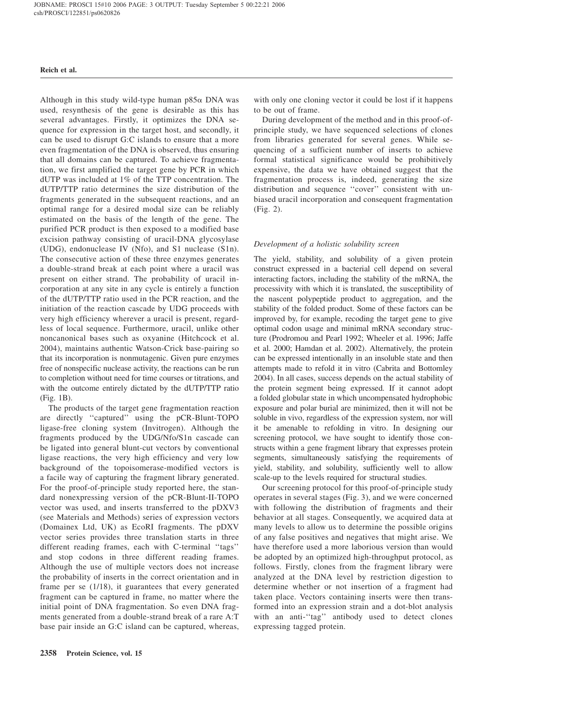Although in this study wild-type human  $p85\alpha$  DNA was used, resynthesis of the gene is desirable as this has several advantages. Firstly, it optimizes the DNA sequence for expression in the target host, and secondly, it can be used to disrupt G:C islands to ensure that a more even fragmentation of the DNA is observed, thus ensuring that all domains can be captured. To achieve fragmentation, we first amplified the target gene by PCR in which dUTP was included at 1% of the TTP concentration. The dUTP/TTP ratio determines the size distribution of the fragments generated in the subsequent reactions, and an optimal range for a desired modal size can be reliably estimated on the basis of the length of the gene. The purified PCR product is then exposed to a modified base excision pathway consisting of uracil-DNA glycosylase (UDG), endonuclease IV (Nfo), and S1 nuclease (S1n). The consecutive action of these three enzymes generates a double-strand break at each point where a uracil was present on either strand. The probability of uracil incorporation at any site in any cycle is entirely a function of the dUTP/TTP ratio used in the PCR reaction, and the initiation of the reaction cascade by UDG proceeds with very high efficiency wherever a uracil is present, regardless of local sequence. Furthermore, uracil, unlike other noncanonical bases such as oxyanine (Hitchcock et al. 2004), maintains authentic Watson-Crick base-pairing so that its incorporation is nonmutagenic. Given pure enzymes free of nonspecific nuclease activity, the reactions can be run to completion without need for time courses or titrations, and with the outcome entirely dictated by the dUTP/TTP ratio (Fig. 1B).

The products of the target gene fragmentation reaction are directly ''captured'' using the pCR-Blunt-TOPO ligase-free cloning system (Invitrogen). Although the fragments produced by the UDG/Nfo/S1n cascade can be ligated into general blunt-cut vectors by conventional ligase reactions, the very high efficiency and very low background of the topoisomerase-modified vectors is a facile way of capturing the fragment library generated. For the proof-of-principle study reported here, the standard nonexpressing version of the pCR-Blunt-II-TOPO vector was used, and inserts transferred to the pDXV3 (see Materials and Methods) series of expression vectors (Domainex Ltd, UK) as EcoRI fragments. The pDXV vector series provides three translation starts in three different reading frames, each with C-terminal ''tags'' and stop codons in three different reading frames. Although the use of multiple vectors does not increase the probability of inserts in the correct orientation and in frame per se (1/18), it guarantees that every generated fragment can be captured in frame, no matter where the initial point of DNA fragmentation. So even DNA fragments generated from a double-strand break of a rare A:T base pair inside an G:C island can be captured, whereas,

with only one cloning vector it could be lost if it happens to be out of frame.

During development of the method and in this proof-ofprinciple study, we have sequenced selections of clones from libraries generated for several genes. While sequencing of a sufficient number of inserts to achieve formal statistical significance would be prohibitively expensive, the data we have obtained suggest that the fragmentation process is, indeed, generating the size distribution and sequence ''cover'' consistent with unbiased uracil incorporation and consequent fragmentation (Fig. 2).

## Development of a holistic solubility screen

The yield, stability, and solubility of a given protein construct expressed in a bacterial cell depend on several interacting factors, including the stability of the mRNA, the processivity with which it is translated, the susceptibility of the nascent polypeptide product to aggregation, and the stability of the folded product. Some of these factors can be improved by, for example, recoding the target gene to give optimal codon usage and minimal mRNA secondary structure (Prodromou and Pearl 1992; Wheeler et al. 1996; Jaffe et al. 2000; Hamdan et al. 2002). Alternatively, the protein can be expressed intentionally in an insoluble state and then attempts made to refold it in vitro (Cabrita and Bottomley 2004). In all cases, success depends on the actual stability of the protein segment being expressed. If it cannot adopt a folded globular state in which uncompensated hydrophobic exposure and polar burial are minimized, then it will not be soluble in vivo, regardless of the expression system, nor will it be amenable to refolding in vitro. In designing our screening protocol, we have sought to identify those constructs within a gene fragment library that expresses protein segments, simultaneously satisfying the requirements of yield, stability, and solubility, sufficiently well to allow scale-up to the levels required for structural studies.

Our screening protocol for this proof-of-principle study operates in several stages (Fig. 3), and we were concerned with following the distribution of fragments and their behavior at all stages. Consequently, we acquired data at many levels to allow us to determine the possible origins of any false positives and negatives that might arise. We have therefore used a more laborious version than would be adopted by an optimized high-throughput protocol, as follows. Firstly, clones from the fragment library were analyzed at the DNA level by restriction digestion to determine whether or not insertion of a fragment had taken place. Vectors containing inserts were then transformed into an expression strain and a dot-blot analysis with an anti-''tag'' antibody used to detect clones expressing tagged protein.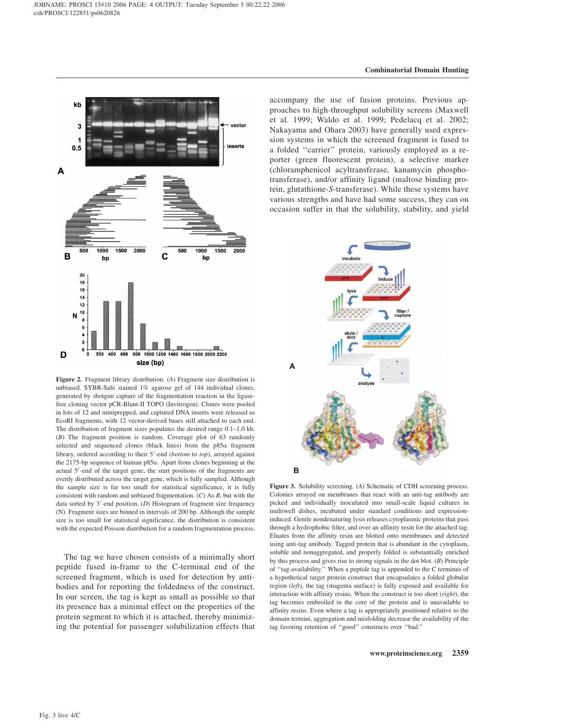

Figure 2. Fragment library distribution. (A) Fragment size distribution is unbiased. SYBR-Safe stained 1% agarose gel of 144 individual clones, generated by shotgun capture of the fragmentation reaction in the ligasefree cloning vector pCR-Blunt-II TOPO (Invitrogen). Clones were pooled in lots of 12 and miniprepped, and captured DNA inserts were released as EcoRI fragments, with 12 vector-derived bases still attached to each end. The distribution of fragment sizes populates the desired range 0.1–1.0 kb. (B) The fragment position is random. Coverage plot of 63 randomly selected and sequenced clones (black lines) from the p85a fragment library, ordered according to their 5'-end (bottom to top), arrayed against the 2175-bp sequence of human  $p85\alpha$ . Apart from clones beginning at the actual 5'-end of the target gene, the start positions of the fragments are evenly distributed across the target gene, which is fully sampled. Although the sample size is far too small for statistical significance, it is fully consistent with random and unbiased fragmentation.  $(C)$  As  $B$ , but with the data sorted by  $3'$ -end position. (D) Histogram of fragment size frequency (N). Fragment sizes are binned in intervals of 200 bp. Although the sample size is too small for statistical significance, the distribution is consistent with the expected Poisson distribution for a random fragmentation process.

The tag we have chosen consists of a minimally short peptide fused in-frame to the C-terminal end of the screened fragment, which is used for detection by antibodies and for reporting the foldedness of the construct. In our screen, the tag is kept as small as possible so that its presence has a minimal effect on the properties of the protein segment to which it is attached, thereby minimizing the potential for passenger solubilization effects that accompany the use of fusion proteins. Previous approaches to high-throughput solubility screens (Maxwell et al. 1999; Waldo et al. 1999; Pedelacq et al. 2002; Nakayama and Ohara 2003) have generally used expression systems in which the screened fragment is fused to a folded ''carrier'' protein, variously employed as a reporter (green fluorescent protein), a selective marker (chloramphenicol acyltransferase, kanamycin phosphotransferase), and/or affinity ligand (maltose binding protein, glutathione-S-transferase). While these systems have various strengths and have had some success, they can on occasion suffer in that the solubility, stability, and yield



Figure 3. Solubility screening. (A) Schematic of CDH screening process. Colonies arrayed on membranes that react with an anti-tag antibody are picked and individually inoculated into small-scale liquid cultures in multiwell dishes, incubated under standard conditions and expressioninduced. Gentle nondenaturing lysis releases cytoplasmic proteins that pass through a hydrophobic filter, and over an affinity resin for the attached tag. Eluates from the affinity resin are blotted onto membranes and detected using anti-tag antibody. Tagged protein that is abundant in the cytoplasm, soluble and nonaggregated, and properly folded is substantially enriched by this process and gives rise to strong signals in the dot blot. (B) Principle of ''tag-availability.'' When a peptide tag is appended to the C terminus of a hypothetical target protein construct that encapsulates a folded globular region (left), the tag (magenta surface) is fully exposed and available for interaction with affinity resins. When the construct is too short (right), the tag becomes embroiled in the core of the protein and is unavailable to affinity resins. Even where a tag is appropriately positioned relative to the domain termini, aggregation and misfolding decrease the availability of the tag favoring retention of ''good'' constructs over ''bad.''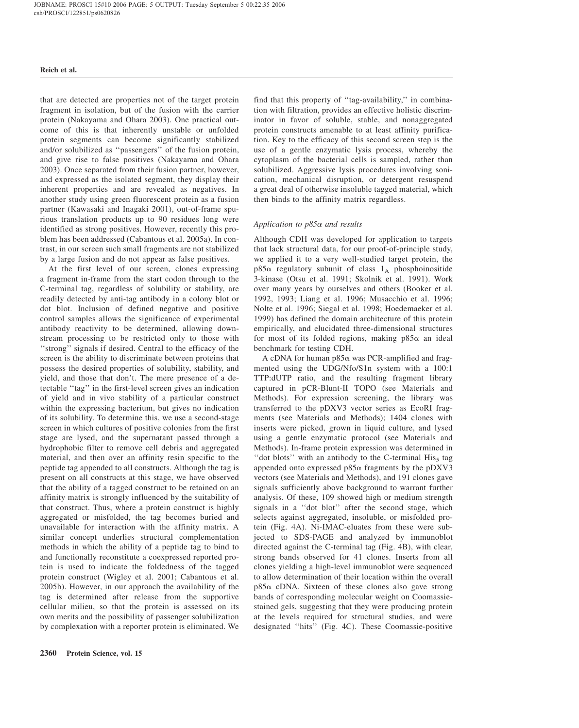that are detected are properties not of the target protein fragment in isolation, but of the fusion with the carrier protein (Nakayama and Ohara 2003). One practical outcome of this is that inherently unstable or unfolded protein segments can become significantly stabilized and/or solubilized as ''passengers'' of the fusion protein, and give rise to false positives (Nakayama and Ohara 2003). Once separated from their fusion partner, however, and expressed as the isolated segment, they display their inherent properties and are revealed as negatives. In another study using green fluorescent protein as a fusion partner (Kawasaki and Inagaki 2001), out-of-frame spurious translation products up to 90 residues long were identified as strong positives. However, recently this problem has been addressed (Cabantous et al. 2005a). In contrast, in our screen such small fragments are not stabilized by a large fusion and do not appear as false positives.

At the first level of our screen, clones expressing a fragment in-frame from the start codon through to the C-terminal tag, regardless of solubility or stability, are readily detected by anti-tag antibody in a colony blot or dot blot. Inclusion of defined negative and positive control samples allows the significance of experimental antibody reactivity to be determined, allowing downstream processing to be restricted only to those with ''strong'' signals if desired. Central to the efficacy of the screen is the ability to discriminate between proteins that possess the desired properties of solubility, stability, and yield, and those that don't. The mere presence of a detectable ''tag'' in the first-level screen gives an indication of yield and in vivo stability of a particular construct within the expressing bacterium, but gives no indication of its solubility. To determine this, we use a second-stage screen in which cultures of positive colonies from the first stage are lysed, and the supernatant passed through a hydrophobic filter to remove cell debris and aggregated material, and then over an affinity resin specific to the peptide tag appended to all constructs. Although the tag is present on all constructs at this stage, we have observed that the ability of a tagged construct to be retained on an affinity matrix is strongly influenced by the suitability of that construct. Thus, where a protein construct is highly aggregated or misfolded, the tag becomes buried and unavailable for interaction with the affinity matrix. A similar concept underlies structural complementation methods in which the ability of a peptide tag to bind to and functionally reconstitute a coexpressed reported protein is used to indicate the foldedness of the tagged protein construct (Wigley et al. 2001; Cabantous et al. 2005b). However, in our approach the availability of the tag is determined after release from the supportive cellular milieu, so that the protein is assessed on its own merits and the possibility of passenger solubilization by complexation with a reporter protein is eliminated. We

find that this property of ''tag-availability,'' in combination with filtration, provides an effective holistic discriminator in favor of soluble, stable, and nonaggregated protein constructs amenable to at least affinity purification. Key to the efficacy of this second screen step is the use of a gentle enzymatic lysis process, whereby the cytoplasm of the bacterial cells is sampled, rather than solubilized. Aggressive lysis procedures involving sonication, mechanical disruption, or detergent resuspend a great deal of otherwise insoluble tagged material, which then binds to the affinity matrix regardless.

## Application to p85a and results

Although CDH was developed for application to targets that lack structural data, for our proof-of-principle study, we applied it to a very well-studied target protein, the  $p85\alpha$  regulatory subunit of class  $1_A$  phosphoinositide 3-kinase (Otsu et al. 1991; Skolnik et al. 1991). Work over many years by ourselves and others (Booker et al. 1992, 1993; Liang et al. 1996; Musacchio et al. 1996; Nolte et al. 1996; Siegal et al. 1998; Hoedemaeker et al. 1999) has defined the domain architecture of this protein empirically, and elucidated three-dimensional structures for most of its folded regions, making  $p85\alpha$  an ideal benchmark for testing CDH.

A cDNA for human  $p85\alpha$  was PCR-amplified and fragmented using the UDG/Nfo/S1n system with a 100:1 TTP:dUTP ratio, and the resulting fragment library captured in pCR-Blunt-II TOPO (see Materials and Methods). For expression screening, the library was transferred to the pDXV3 vector series as EcoRI fragments (see Materials and Methods); 1404 clones with inserts were picked, grown in liquid culture, and lysed using a gentle enzymatic protocol (see Materials and Methods). In-frame protein expression was determined in "dot blots" with an antibody to the C-terminal  $His<sub>5</sub>$  tag appended onto expressed  $p85\alpha$  fragments by the  $pDXV3$ vectors (see Materials and Methods), and 191 clones gave signals sufficiently above background to warrant further analysis. Of these, 109 showed high or medium strength signals in a ''dot blot'' after the second stage, which selects against aggregated, insoluble, or misfolded protein (Fig. 4A). Ni-IMAC-eluates from these were subjected to SDS-PAGE and analyzed by immunoblot directed against the C-terminal tag (Fig. 4B), with clear, strong bands observed for 41 clones. Inserts from all clones yielding a high-level immunoblot were sequenced to allow determination of their location within the overall  $p85\alpha$  cDNA. Sixteen of these clones also gave strong bands of corresponding molecular weight on Coomassiestained gels, suggesting that they were producing protein at the levels required for structural studies, and were designated ''hits'' (Fig. 4C). These Coomassie-positive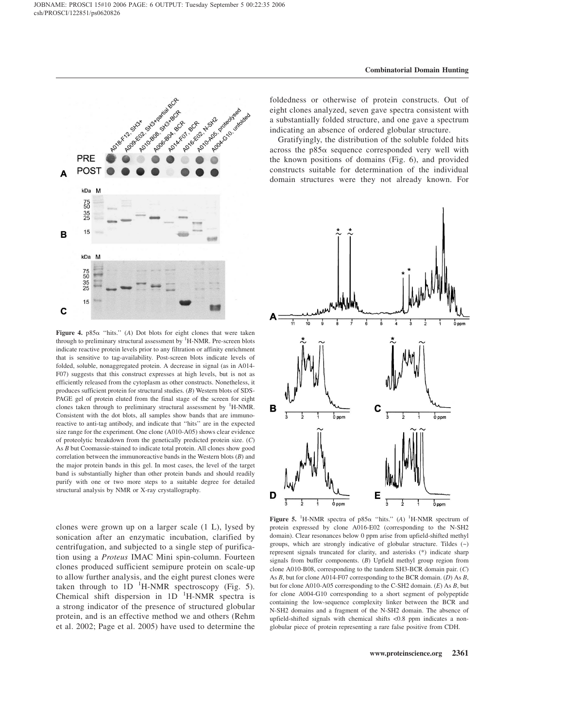

Figure 4.  $p85\alpha$  "hits." (A) Dot blots for eight clones that were taken through to preliminary structural assessment by <sup>1</sup>H-NMR. Pre-screen blots indicate reactive protein levels prior to any filtration or affinity enrichment that is sensitive to tag-availability. Post-screen blots indicate levels of folded, soluble, nonaggregated protein. A decrease in signal (as in A014- F07) suggests that this construct expresses at high levels, but is not as efficiently released from the cytoplasm as other constructs. Nonetheless, it produces sufficient protein for structural studies. (B) Western blots of SDS-PAGE gel of protein eluted from the final stage of the screen for eight clones taken through to preliminary structural assessment by <sup>1</sup>H-NMR. Consistent with the dot blots, all samples show bands that are immunoreactive to anti-tag antibody, and indicate that ''hits'' are in the expected size range for the experiment. One clone (A010-A05) shows clear evidence of proteolytic breakdown from the genetically predicted protein size. (C) As B but Coomassie-stained to indicate total protein. All clones show good correlation between the immunoreactive bands in the Western blots  $(B)$  and the major protein bands in this gel. In most cases, the level of the target band is substantially higher than other protein bands and should readily purify with one or two more steps to a suitable degree for detailed structural analysis by NMR or X-ray crystallography.

clones were grown up on a larger scale (1 L), lysed by sonication after an enzymatic incubation, clarified by centrifugation, and subjected to a single step of purification using a *Proteus* IMAC Mini spin-column. Fourteen clones produced sufficient semipure protein on scale-up to allow further analysis, and the eight purest clones were taken through to  $1D^{-1}H\text{-NMR}$  spectroscopy (Fig. 5). Chemical shift dispersion in  $1D^{-1}H\text{-NMR}$  spectra is a strong indicator of the presence of structured globular protein, and is an effective method we and others (Rehm et al. 2002; Page et al. 2005) have used to determine the foldedness or otherwise of protein constructs. Out of eight clones analyzed, seven gave spectra consistent with a substantially folded structure, and one gave a spectrum indicating an absence of ordered globular structure.

Gratifyingly, the distribution of the soluble folded hits across the  $p85\alpha$  sequence corresponded very well with the known positions of domains (Fig. 6), and provided constructs suitable for determination of the individual domain structures were they not already known. For



Figure 5. <sup>1</sup>H-NMR spectra of p85 $\alpha$  "hits." (A) <sup>1</sup>H-NMR spectrum of protein expressed by clone A016-E02 (corresponding to the N-SH2 domain). Clear resonances below 0 ppm arise from upfield-shifted methyl groups, which are strongly indicative of globular structure. Tildes (~) represent signals truncated for clarity, and asterisks (\*) indicate sharp signals from buffer components. (B) Upfield methyl group region from clone A010-B08, corresponding to the tandem SH3-BCR domain pair. (C) As B, but for clone A014-F07 corresponding to the BCR domain. (D) As B, but for clone A010-A05 corresponding to the C-SH2 domain. (E) As B, but for clone A004-G10 corresponding to a short segment of polypeptide containing the low-sequence complexity linker between the BCR and N-SH2 domains and a fragment of the N-SH2 domain. The absence of upfield-shifted signals with chemical shifts <0.8 ppm indicates a nonglobular piece of protein representing a rare false positive from CDH.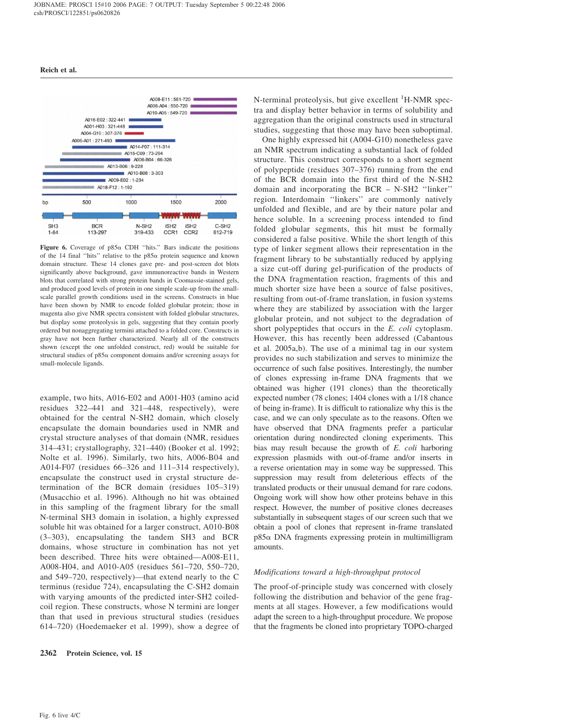

Figure 6. Coverage of  $p85\alpha$  CDH "hits." Bars indicate the positions of the 14 final "hits" relative to the  $p85\alpha$  protein sequence and known domain structure. These 14 clones gave pre- and post-screen dot blots significantly above background, gave immunoreactive bands in Western blots that correlated with strong protein bands in Coomassie-stained gels, and produced good levels of protein in one simple scale-up from the smallscale parallel growth conditions used in the screens. Constructs in blue have been shown by NMR to encode folded globular protein; those in magenta also give NMR spectra consistent with folded globular structures, but display some proteolysis in gels, suggesting that they contain poorly ordered but nonaggregating termini attached to a folded core. Constructs in gray have not been further characterized. Nearly all of the constructs shown (except the one unfolded construct, red) would be suitable for structural studies of p85a component domains and/or screening assays for small-molecule ligands.

example, two hits, A016-E02 and A001-H03 (amino acid residues 322–441 and 321–448, respectively), were obtained for the central N-SH2 domain, which closely encapsulate the domain boundaries used in NMR and crystal structure analyses of that domain (NMR, residues 314–431; crystallography, 321–440) (Booker et al. 1992; Nolte et al. 1996). Similarly, two hits, A006-B04 and A014-F07 (residues 66–326 and 111–314 respectively), encapsulate the construct used in crystal structure determination of the BCR domain (residues 105–319) (Musacchio et al. 1996). Although no hit was obtained in this sampling of the fragment library for the small N-terminal SH3 domain in isolation, a highly expressed soluble hit was obtained for a larger construct, A010-B08 (3–303), encapsulating the tandem SH3 and BCR domains, whose structure in combination has not yet been described. Three hits were obtained—A008-E11, A008-H04, and A010-A05 (residues 561–720, 550–720, and 549–720, respectively)—that extend nearly to the C terminus (residue 724), encapsulating the C-SH2 domain with varying amounts of the predicted inter-SH2 coiledcoil region. These constructs, whose N termini are longer than that used in previous structural studies (residues 614–720) (Hoedemaeker et al. 1999), show a degree of

2362 Protein Science, vol. 15

N-terminal proteolysis, but give excellent <sup>1</sup>H-NMR spectra and display better behavior in terms of solubility and aggregation than the original constructs used in structural studies, suggesting that those may have been suboptimal.

One highly expressed hit (A004-G10) nonetheless gave an NMR spectrum indicating a substantial lack of folded structure. This construct corresponds to a short segment of polypeptide (residues 307–376) running from the end of the BCR domain into the first third of the N-SH2 domain and incorporating the BCR – N-SH2 ''linker'' region. Interdomain ''linkers'' are commonly natively unfolded and flexible, and are by their nature polar and hence soluble. In a screening process intended to find folded globular segments, this hit must be formally considered a false positive. While the short length of this type of linker segment allows their representation in the fragment library to be substantially reduced by applying a size cut-off during gel-purification of the products of the DNA fragmentation reaction, fragments of this and much shorter size have been a source of false positives, resulting from out-of-frame translation, in fusion systems where they are stabilized by association with the larger globular protein, and not subject to the degradation of short polypeptides that occurs in the E. coli cytoplasm. However, this has recently been addressed (Cabantous et al. 2005a,b). The use of a minimal tag in our system provides no such stabilization and serves to minimize the occurrence of such false positives. Interestingly, the number of clones expressing in-frame DNA fragments that we obtained was higher (191 clones) than the theoretically expected number (78 clones; 1404 clones with a 1/18 chance of being in-frame). It is difficult to rationalize why this is the case, and we can only speculate as to the reasons. Often we have observed that DNA fragments prefer a particular orientation during nondirected cloning experiments. This bias may result because the growth of E. coli harboring expression plasmids with out-of-frame and/or inserts in a reverse orientation may in some way be suppressed. This suppression may result from deleterious effects of the translated products or their unusual demand for rare codons. Ongoing work will show how other proteins behave in this respect. However, the number of positive clones decreases substantially in subsequent stages of our screen such that we obtain a pool of clones that represent in-frame translated  $p85\alpha$  DNA fragments expressing protein in multimilligram amounts.

#### Modifications toward a high-throughput protocol

The proof-of-principle study was concerned with closely following the distribution and behavior of the gene fragments at all stages. However, a few modifications would adapt the screen to a high-throughput procedure. We propose that the fragments be cloned into proprietary TOPO-charged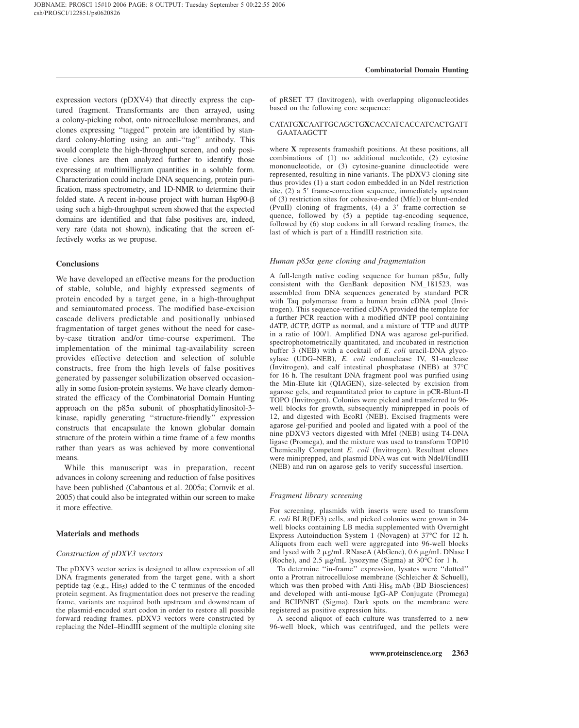expression vectors (pDXV4) that directly express the captured fragment. Transformants are then arrayed, using a colony-picking robot, onto nitrocellulose membranes, and clones expressing ''tagged'' protein are identified by standard colony-blotting using an anti-''tag'' antibody. This would complete the high-throughput screen, and only positive clones are then analyzed further to identify those expressing at multimilligram quantities in a soluble form. Characterization could include DNA sequencing, protein purification, mass spectrometry, and 1D-NMR to determine their folded state. A recent in-house project with human  $Hsp90- $\beta$$ using such a high-throughput screen showed that the expected domains are identified and that false positives are, indeed, very rare (data not shown), indicating that the screen effectively works as we propose.

## **Conclusions**

We have developed an effective means for the production of stable, soluble, and highly expressed segments of protein encoded by a target gene, in a high-throughput and semiautomated process. The modified base-excision cascade delivers predictable and positionally unbiased fragmentation of target genes without the need for caseby-case titration and/or time-course experiment. The implementation of the minimal tag-availability screen provides effective detection and selection of soluble constructs, free from the high levels of false positives generated by passenger solubilization observed occasionally in some fusion-protein systems. We have clearly demonstrated the efficacy of the Combinatorial Domain Hunting approach on the  $p85\alpha$  subunit of phosphatidylinositol-3kinase, rapidly generating ''structure-friendly'' expression constructs that encapsulate the known globular domain structure of the protein within a time frame of a few months rather than years as was achieved by more conventional means.

While this manuscript was in preparation, recent advances in colony screening and reduction of false positives have been published (Cabantous et al. 2005a; Cornvik et al. 2005) that could also be integrated within our screen to make it more effective.

## Materials and methods

## Construction of pDXV3 vectors

The pDXV3 vector series is designed to allow expression of all DNA fragments generated from the target gene, with a short peptide tag  $(e.g., His<sub>5</sub>)$  added to the C terminus of the encoded protein segment. As fragmentation does not preserve the reading frame, variants are required both upstream and downstream of the plasmid-encoded start codon in order to restore all possible forward reading frames. pDXV3 vectors were constructed by replacing the NdeI–HindIII segment of the multiple cloning site

of pRSET T7 (Invitrogen), with overlapping oligonucleotides based on the following core sequence:

## CATATGXCAATTGCAGCTGXCACCATCACCATCACTGATT GAATAAGCTT

where X represents frameshift positions. At these positions, all combinations of (1) no additional nucleotide, (2) cytosine mononucleotide, or (3) cytosine-guanine dinucleotide were represented, resulting in nine variants. The pDXV3 cloning site thus provides (1) a start codon embedded in an NdeI restriction site,  $(2)$  a 5' frame-correction sequence, immediately upstream of (3) restriction sites for cohesive-ended (MfeI) or blunt-ended (PvuII) cloning of fragments,  $(4)$  a 3' frame-correction sequence, followed by (5) a peptide tag-encoding sequence, followed by (6) stop codons in all forward reading frames, the last of which is part of a HindIII restriction site.

### Human p85a gene cloning and fragmentation

A full-length native coding sequence for human  $p85\alpha$ , fully consistent with the GenBank deposition NM\_181523, was assembled from DNA sequences generated by standard PCR with Taq polymerase from a human brain cDNA pool (Invitrogen). This sequence-verified cDNA provided the template for a further PCR reaction with a modified dNTP pool containing dATP, dCTP, dGTP as normal, and a mixture of TTP and dUTP in a ratio of 100/1. Amplified DNA was agarose gel-purified, spectrophotometrically quantitated, and incubated in restriction buffer 3 (NEB) with a cocktail of E. coli uracil-DNA glycosylase (UDG–NEB), E. coli endonuclease IV, S1-nuclease (Invitrogen), and calf intestinal phosphatase (NEB) at 37°C for 16 h. The resultant DNA fragment pool was purified using the Min-Elute kit (QIAGEN), size-selected by excision from agarose gels, and requantitated prior to capture in pCR-Blunt-II TOPO (Invitrogen). Colonies were picked and transferred to 96 well blocks for growth, subsequently miniprepped in pools of 12, and digested with EcoRI (NEB). Excised fragments were agarose gel-purified and pooled and ligated with a pool of the nine pDXV3 vectors digested with MfeI (NEB) using T4-DNA ligase (Promega), and the mixture was used to transform TOP10 Chemically Competent E. coli (Invitrogen). Resultant clones were miniprepped, and plasmid DNA was cut with NdeI/HindIII (NEB) and run on agarose gels to verify successful insertion.

## Fragment library screening

For screening, plasmids with inserts were used to transform E. coli BLR(DE3) cells, and picked colonies were grown in 24 well blocks containing LB media supplemented with Overnight Express Autoinduction System 1 (Novagen) at 37°C for 12 h. Aliquots from each well were aggregated into 96-well blocks and lysed with 2 µg/mL RNaseA (AbGene), 0.6 µg/mL DNase I (Roche), and 2.5  $\mu$ g/mL lysozyme (Sigma) at 30°C for 1 h.

To determine ''in-frame'' expression, lysates were ''dotted'' onto a Protran nitrocellulose membrane (Schleicher & Schuell), which was then probed with Anti-His $_6$  mAb (BD Biosciences) and developed with anti-mouse IgG-AP Conjugate (Promega) and BCIP/NBT (Sigma). Dark spots on the membrane were registered as positive expression hits.

A second aliquot of each culture was transferred to a new 96-well block, which was centrifuged, and the pellets were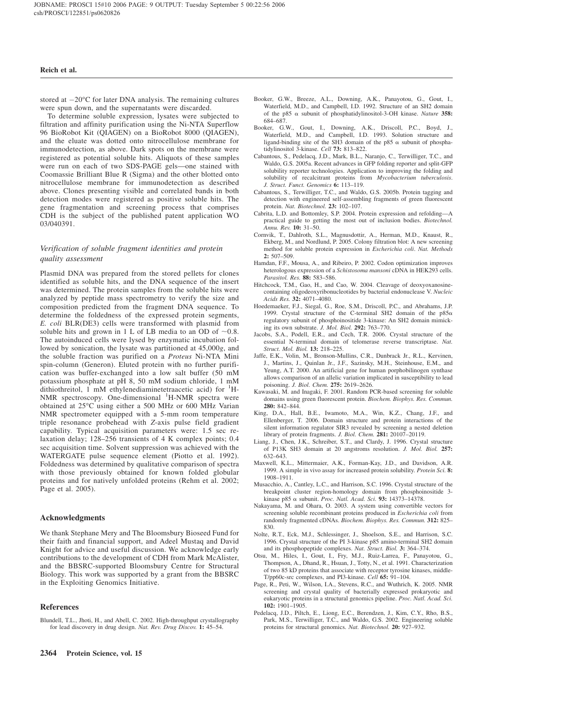stored at  $-20^{\circ}$ C for later DNA analysis. The remaining cultures were spun down, and the supernatants were discarded.

To determine soluble expression, lysates were subjected to filtration and affinity purification using the Ni-NTA Superflow 96 BioRobot Kit (QIAGEN) on a BioRobot 8000 (QIAGEN), and the eluate was dotted onto nitrocellulose membrane for immunodetection, as above. Dark spots on the membrane were registered as potential soluble hits. Aliquots of these samples were run on each of two SDS-PAGE gels—one stained with Coomassie Brilliant Blue R (Sigma) and the other blotted onto nitrocellulose membrane for immunodetection as described above. Clones presenting visible and correlated bands in both detection modes were registered as positive soluble hits. The gene fragmentation and screening process that comprises CDH is the subject of the published patent application WO 03/040391.

## Verification of soluble fragment identities and protein quality assessment

Plasmid DNA was prepared from the stored pellets for clones identified as soluble hits, and the DNA sequence of the insert was determined. The protein samples from the soluble hits were analyzed by peptide mass spectrometry to verify the size and composition predicted from the fragment DNA sequence. To determine the foldedness of the expressed protein segments, E. coli BLR(DE3) cells were transformed with plasmid from soluble hits and grown in 1 L of LB media to an OD of  $\sim 0.8$ . The autoinduced cells were lysed by enzymatic incubation followed by sonication, the lysate was partitioned at 45,000g, and the soluble fraction was purified on a Proteus Ni-NTA Mini spin-column (Generon). Eluted protein with no further purification was buffer-exchanged into a low salt buffer (50 mM potassium phosphate at pH 8, 50 mM sodium chloride, 1 mM dithiothreitol,  $1 \text{ mM }$  ethylenediaminetetraacetic acid) for  $1\text{ H}$ -NMR spectroscopy. One-dimensional <sup>1</sup>H-NMR spectra were obtained at 25°C using either a 500 MHz or 600 MHz Varian NMR spectrometer equipped with a 5-mm room temperature triple resonance probehead with Z-axis pulse field gradient capability. Typical acquisition parameters were: 1.5 sec relaxation delay; 128–256 transients of 4 K complex points; 0.4 sec acquisition time. Solvent suppression was achieved with the WATERGATE pulse sequence element (Piotto et al. 1992). Foldedness was determined by qualitative comparison of spectra with those previously obtained for known folded globular proteins and for natively unfolded proteins (Rehm et al. 2002; Page et al. 2005).

## Acknowledgments

We thank Stephane Mery and The Bloomsbury Bioseed Fund for their faith and financial support, and Adeel Mustaq and David Knight for advice and useful discussion. We acknowledge early contributions to the development of CDH from Mark McAlister, and the BBSRC-supported Bloomsbury Centre for Structural Biology. This work was supported by a grant from the BBSRC in the Exploiting Genomics Initiative.

## References

Blundell, T.L., Jhoti, H., and Abell, C. 2002. High-throughput crystallography for lead discovery in drug design. Nat. Rev. Drug Discov. 1: 45–54.

- Booker, G.W., Breeze, A.L., Downing, A.K., Panayotou, G., Gout, I., Waterfield, M.D., and Campbell, I.D. 1992. Structure of an SH2 domain of the p85  $\alpha$  subunit of phosphatidylinositol-3-OH kinase. Nature 358: 684–687.
- Booker, G.W., Gout, I., Downing, A.K., Driscoll, P.C., Boyd, J., Waterfield, M.D., and Campbell, I.D. 1993. Solution structure and ligand-binding site of the SH3 domain of the p85  $\alpha$  subunit of phosphatidylinositol 3-kinase. Cell 73: 813–822.
- Cabantous, S., Pedelacq, J.D., Mark, B.L., Naranjo, C., Terwilliger, T.C., and Waldo, G.S. 2005a. Recent advances in GFP folding reporter and split-GFP solubility reporter technologies. Application to improving the folding and solubility of recalcitrant proteins from Mycobacterium tuberculosis. J. Struct. Funct. Genomics 6: 113–119.
- Cabantous, S., Terwilliger, T.C., and Waldo, G.S. 2005b. Protein tagging and detection with engineered self-assembling fragments of green fluorescent protein. Nat. Biotechnol. 23: 102–107.
- Cabrita, L.D. and Bottomley, S.P. 2004. Protein expression and refolding—A practical guide to getting the most out of inclusion bodies. Biotechnol. Annu. Rev. 10: 31–50.
- Cornvik, T., Dahlroth, S.L., Magnusdottir, A., Herman, M.D., Knaust, R., Ekberg, M., and Nordlund, P. 2005. Colony filtration blot: A new screening method for soluble protein expression in Escherichia coli. Nat. Methods 2: 507–509.
- Hamdan, F.F., Mousa, A., and Ribeiro, P. 2002. Codon optimization improves heterologous expression of a Schistosoma mansoni cDNA in HEK293 cells. Parasitol. Res. 88: 583–586.
- Hitchcock, T.M., Gao, H., and Cao, W. 2004. Cleavage of deoxyoxanosinecontaining oligodeoxyribonucleotides by bacterial endonuclease V. Nucleic Acids Res. 32: 4071–4080.
- Hoedemaeker, F.J., Siegal, G., Roe, S.M., Driscoll, P.C., and Abrahams, J.P. 1999. Crystal structure of the C-terminal SH2 domain of the  $p85\alpha$ regulatory subunit of phosphoinositide 3-kinase: An SH2 domain mimicking its own substrate. J. Mol. Biol. 292: 763–770.
- Jacobs, S.A., Podell, E.R., and Cech, T.R. 2006. Crystal structure of the essential N-terminal domain of telomerase reverse transcriptase. Nat. Struct. Mol. Biol. 13: 218–225.
- Jaffe, E.K., Volin, M., Bronson-Mullins, C.R., Dunbrack Jr., R.L., Kervinen, J., Martins, J., Quinlan Jr., J.F., Sazinsky, M.H., Steinhouse, E.M., and Yeung, A.T. 2000. An artificial gene for human porphobilinogen synthase allows comparison of an allelic variation implicated in susceptibility to lead poisoning. J. Biol. Chem. 275: 2619–2626.
- Kawasaki, M. and Inagaki, F. 2001. Random PCR-based screening for soluble domains using green fluorescent protein. Biochem. Biophys. Res. Commun. 280: 842–844.
- King, D.A., Hall, B.E., Iwamoto, M.A., Win, K.Z., Chang, J.F., and Ellenberger, T. 2006. Domain structure and protein interactions of the silent information regulator SIR3 revealed by screening a nested deletion library of protein fragments. J. Biol. Chem. 281: 20107–20119.
- Liang, J., Chen, J.K., Schreiber, S.T., and Clardy, J. 1996. Crystal structure of P13K SH3 domain at 20 angstroms resolution. J. Mol. Biol. 257: 632–643.
- Maxwell, K.L., Mittermaier, A.K., Forman-Kay, J.D., and Davidson, A.R. 1999. A simple in vivo assay for increased protein solubility. Protein Sci. 8: 1908–1911.
- Musacchio, A., Cantley, L.C., and Harrison, S.C. 1996. Crystal structure of the breakpoint cluster region-homology domain from phosphoinositide 3 kinase p85  $\alpha$  subunit. Proc. Natl. Acad. Sci. 93: 14373-14378.
- Nakayama, M. and Ohara, O. 2003. A system using convertible vectors for screening soluble recombinant proteins produced in Escherichia coli from randomly fragmented cDNAs. Biochem. Biophys. Res. Commun. 312: 825– 830.
- Nolte, R.T., Eck, M.J., Schlessinger, J., Shoelson, S.E., and Harrison, S.C. 1996. Crystal structure of the PI 3-kinase p85 amino-terminal SH2 domain and its phosphopeptide complexes. Nat. Struct. Biol. 3: 364–374.
- Otsu, M., Hiles, I., Gout, I., Fry, M.J., Ruiz-Larrea, F., Panayotou, G., Thompson, A., Dhand, R., Hsuan, J., Totty, N., et al. 1991. Characterization of two 85 kD proteins that associate with receptor tyrosine kinases, middle-T/pp60c-src complexes, and PI3-kinase. Cell 65: 91–104.
- Page, R., Peti, W., Wilson, I.A., Stevens, R.C., and Wuthrich, K. 2005. NMR screening and crystal quality of bacterially expressed prokaryotic and eukaryotic proteins in a structural genomics pipeline. Proc. Natl. Acad. Sci. 102: 1901–1905.
- Pedelacq, J.D., Piltch, E., Liong, E.C., Berendzen, J., Kim, C.Y., Rho, B.S., Park, M.S., Terwilliger, T.C., and Waldo, G.S. 2002. Engineering soluble proteins for structural genomics. Nat. Biotechnol. 20: 927–932.